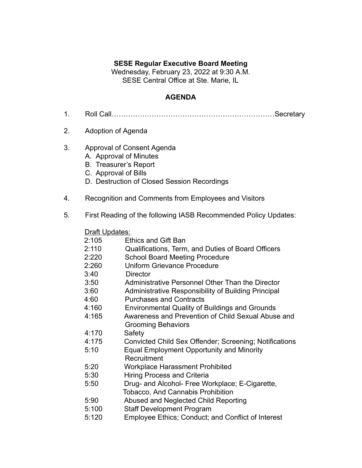## **SESE Regular Executive Board Meeting**

Wednesday, February 23, 2022 at 9:30 A.M. SESE Central Office at Ste. Marie, IL

## **AGENDA**

- 1. Roll Call……………………………………………………………Secretary
- 2. Adoption of Agenda
- 3. Approval of Consent Agenda
	- A. Approval of Minutes
	- B. Treasurer's Report
	- C. Approval of Bills
	- D. Destruction of Closed Session Recordings
- 4. Recognition and Comments from Employees and Visitors
- 5. First Reading of the following IASB Recommended Policy Updates:

## **Draft Updates:**

| 2:105 |                 | <b>Ethics and Gift Ban</b>                             |
|-------|-----------------|--------------------------------------------------------|
| 2:110 |                 | Qualifications, Term, and Duties of Board Officers     |
| 2:220 |                 | <b>School Board Meeting Procedure</b>                  |
| 2:260 |                 | <b>Uniform Grievance Procedure</b>                     |
| 3:40  | <b>Director</b> |                                                        |
| 3:50  |                 | Administrative Personnel Other Than the Director       |
| 3:60  |                 | Administrative Responsibility of Building Principal    |
| 4:60  |                 | <b>Purchases and Contracts</b>                         |
| 4:160 |                 | <b>Environmental Quality of Buildings and Grounds</b>  |
| 4:165 |                 | Awareness and Prevention of Child Sexual Abuse and     |
|       |                 | <b>Grooming Behaviors</b>                              |
| 4:170 | Safety          |                                                        |
| 4:175 |                 | Convicted Child Sex Offender; Screening; Notifications |
| 5:10  |                 | <b>Equal Employment Opportunity and Minority</b>       |
|       | Recruitment     |                                                        |
| 5:20  |                 | <b>Workplace Harassment Prohibited</b>                 |
| 5:30  |                 | <b>Hiring Process and Criteria</b>                     |
| 5:50  |                 | Drug- and Alcohol- Free Workplace; E-Cigarette,        |
|       |                 | <b>Tobacco, And Cannabis Prohibition</b>               |
| 5:90  |                 | Abused and Neglected Child Reporting                   |
| 5:100 |                 | <b>Staff Development Program</b>                       |
| 5:120 |                 | Employee Ethics; Conduct; and Conflict of Interest     |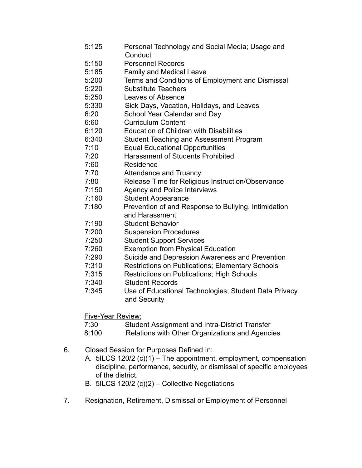- 5:125 Personal Technology and Social Media; Usage and **Conduct**
- 5:150 Personnel Records
- 5:185 Family and Medical Leave
- 5:200 Terms and Conditions of Employment and Dismissal
- 5:220 Substitute Teachers
- 5:250 Leaves of Absence
- 5:330 Sick Days, Vacation, Holidays, and Leaves
- 6:20 School Year Calendar and Day
- 6:60 Curriculum Content
- 6:120 Education of Children with Disabilities
- 6:340 Student Teaching and Assessment Program
- 7:10 Equal Educational Opportunities
- 7:20 Harassment of Students Prohibited
- 7:60 Residence
- 7:70 Attendance and Truancy
- 7:80 Release Time for Religious Instruction/Observance
- 7:150 Agency and Police Interviews
- 7:160 Student Appearance
- 7:180 Prevention of and Response to Bullying, Intimidation and Harassment
- 7:190 Student Behavior
- 7:200 Suspension Procedures
- 7:250 Student Support Services
- 7:260 Exemption from Physical Education
- 7:290 Suicide and Depression Awareness and Prevention
- 7:310 Restrictions on Publications; Elementary Schools
- 7:315 Restrictions on Publications; High Schools
- 7:340 Student Records
- 7:345 Use of Educational Technologies; Student Data Privacy and Security

Five-Year Review:

- 7:30 Student Assignment and Intra-District Transfer
- 8:100 Relations with Other Organizations and Agencies
- 6. Closed Session for Purposes Defined In:
	- A. 5ILCS 120/2 (c)(1) The appointment, employment, compensation discipline, performance, security, or dismissal of specific employees of the district.
	- B. 5ILCS 120/2 (c)(2) Collective Negotiations
- 7. Resignation, Retirement, Dismissal or Employment of Personnel